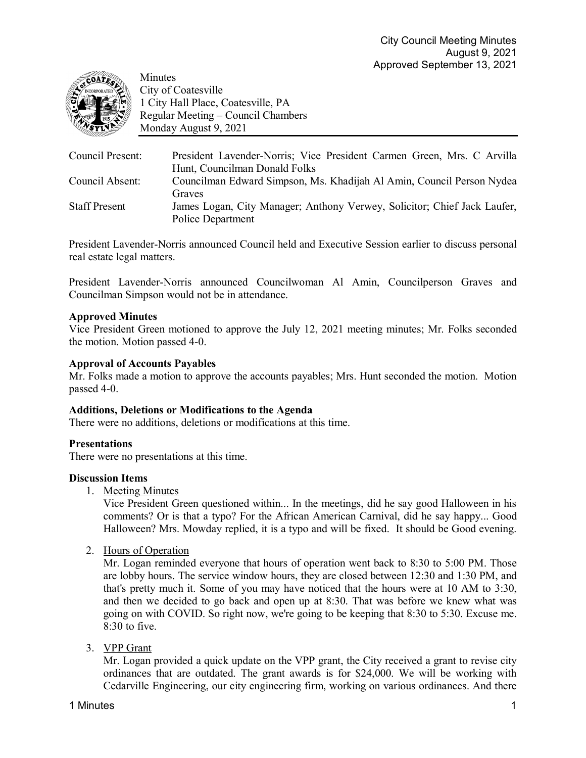

Minutes City of Coatesville 1 City Hall Place, Coatesville, PA Regular Meeting – Council Chambers Monday August 9, 2021

| Council Present:     | President Lavender-Norris; Vice President Carmen Green, Mrs. C Arvilla<br>Hunt, Councilman Donald Folks |
|----------------------|---------------------------------------------------------------------------------------------------------|
| Council Absent:      | Councilman Edward Simpson, Ms. Khadijah Al Amin, Council Person Nydea<br>Graves                         |
| <b>Staff Present</b> | James Logan, City Manager; Anthony Verwey, Solicitor; Chief Jack Laufer,<br>Police Department           |

President Lavender-Norris announced Council held and Executive Session earlier to discuss personal real estate legal matters.

President Lavender-Norris announced Councilwoman Al Amin, Councilperson Graves and Councilman Simpson would not be in attendance.

## **Approved Minutes**

Vice President Green motioned to approve the July 12, 2021 meeting minutes; Mr. Folks seconded the motion. Motion passed 4-0.

## **Approval of Accounts Payables**

Mr. Folks made a motion to approve the accounts payables; Mrs. Hunt seconded the motion. Motion passed 4-0.

### **Additions, Deletions or Modifications to the Agenda**

There were no additions, deletions or modifications at this time.

### **Presentations**

There were no presentations at this time.

### **Discussion Items**

1. Meeting Minutes

Vice President Green questioned within... In the meetings, did he say good Halloween in his comments? Or is that a typo? For the African American Carnival, did he say happy... Good Halloween? Mrs. Mowday replied, it is a typo and will be fixed. It should be Good evening.

2. Hours of Operation

Mr. Logan reminded everyone that hours of operation went back to 8:30 to 5:00 PM. Those are lobby hours. The service window hours, they are closed between 12:30 and 1:30 PM, and that's pretty much it. Some of you may have noticed that the hours were at 10 AM to 3:30, and then we decided to go back and open up at 8:30. That was before we knew what was going on with COVID. So right now, we're going to be keeping that 8:30 to 5:30. Excuse me. 8:30 to five.

3. VPP Grant

Mr. Logan provided a quick update on the VPP grant, the City received a grant to revise city ordinances that are outdated. The grant awards is for \$24,000. We will be working with Cedarville Engineering, our city engineering firm, working on various ordinances. And there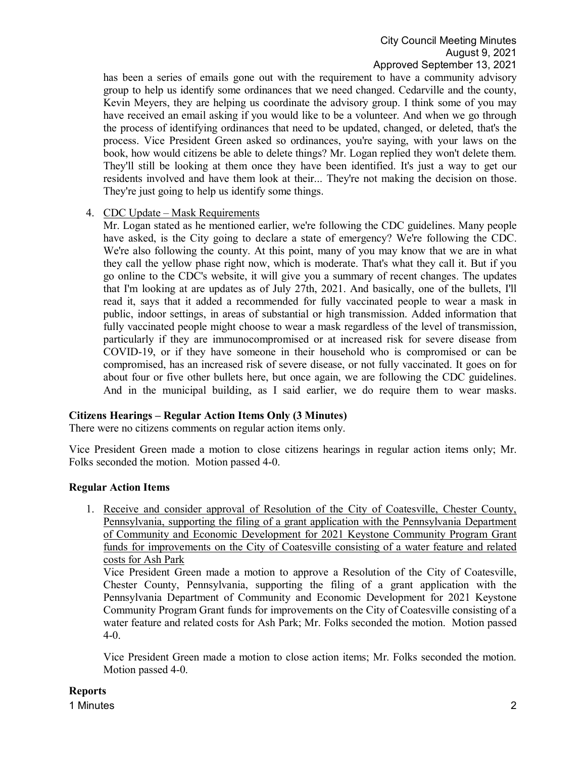has been a series of emails gone out with the requirement to have a community advisory group to help us identify some ordinances that we need changed. Cedarville and the county, Kevin Meyers, they are helping us coordinate the advisory group. I think some of you may have received an email asking if you would like to be a volunteer. And when we go through the process of identifying ordinances that need to be updated, changed, or deleted, that's the process. Vice President Green asked so ordinances, you're saying, with your laws on the book, how would citizens be able to delete things? Mr. Logan replied they won't delete them. They'll still be looking at them once they have been identified. It's just a way to get our residents involved and have them look at their... They're not making the decision on those. They're just going to help us identify some things.

## 4. CDC Update – Mask Requirements

Mr. Logan stated as he mentioned earlier, we're following the CDC guidelines. Many people have asked, is the City going to declare a state of emergency? We're following the CDC. We're also following the county. At this point, many of you may know that we are in what they call the yellow phase right now, which is moderate. That's what they call it. But if you go online to the CDC's website, it will give you a summary of recent changes. The updates that I'm looking at are updates as of July 27th, 2021. And basically, one of the bullets, I'll read it, says that it added a recommended for fully vaccinated people to wear a mask in public, indoor settings, in areas of substantial or high transmission. Added information that fully vaccinated people might choose to wear a mask regardless of the level of transmission, particularly if they are immunocompromised or at increased risk for severe disease from COVID-19, or if they have someone in their household who is compromised or can be compromised, has an increased risk of severe disease, or not fully vaccinated. It goes on for about four or five other bullets here, but once again, we are following the CDC guidelines. And in the municipal building, as I said earlier, we do require them to wear masks.

## **Citizens Hearings – Regular Action Items Only (3 Minutes)**

There were no citizens comments on regular action items only.

Vice President Green made a motion to close citizens hearings in regular action items only; Mr. Folks seconded the motion. Motion passed 4-0.

## **Regular Action Items**

1. Receive and consider approval of Resolution of the City of Coatesville, Chester County, Pennsylvania, supporting the filing of a grant application with the Pennsylvania Department of Community and Economic Development for 2021 Keystone Community Program Grant funds for improvements on the City of Coatesville consisting of a water feature and related costs for Ash Park

Vice President Green made a motion to approve a Resolution of the City of Coatesville, Chester County, Pennsylvania, supporting the filing of a grant application with the Pennsylvania Department of Community and Economic Development for 2021 Keystone Community Program Grant funds for improvements on the City of Coatesville consisting of a water feature and related costs for Ash Park; Mr. Folks seconded the motion. Motion passed 4-0.

Vice President Green made a motion to close action items; Mr. Folks seconded the motion. Motion passed 4-0.

## **Reports**

1 Minutes 2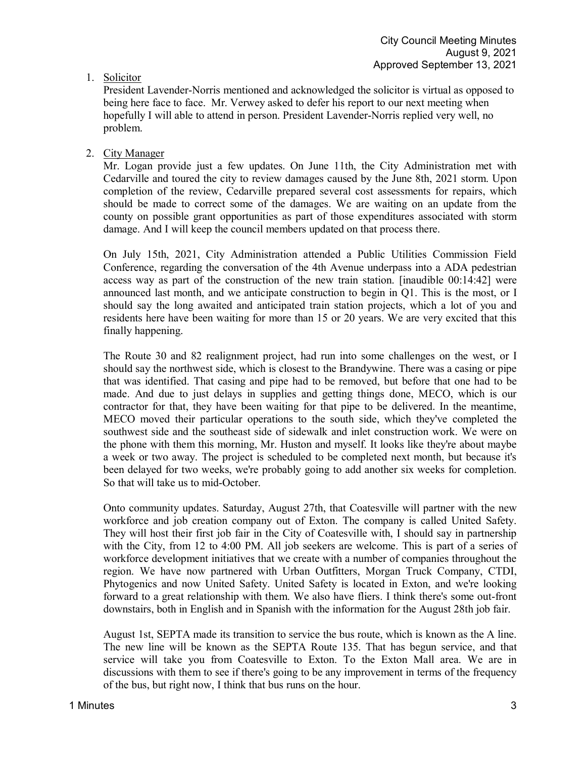# 1. Solicitor

President Lavender-Norris mentioned and acknowledged the solicitor is virtual as opposed to being here face to face. Mr. Verwey asked to defer his report to our next meeting when hopefully I will able to attend in person. President Lavender-Norris replied very well, no problem.

# 2. City Manager

Mr. Logan provide just a few updates. On June 11th, the City Administration met with Cedarville and toured the city to review damages caused by the June 8th, 2021 storm. Upon completion of the review, Cedarville prepared several cost assessments for repairs, which should be made to correct some of the damages. We are waiting on an update from the county on possible grant opportunities as part of those expenditures associated with storm damage. And I will keep the council members updated on that process there.

On July 15th, 2021, City Administration attended a Public Utilities Commission Field Conference, regarding the conversation of the 4th Avenue underpass into a ADA pedestrian access way as part of the construction of the new train station. [inaudible 00:14:42] were announced last month, and we anticipate construction to begin in Q1. This is the most, or I should say the long awaited and anticipated train station projects, which a lot of you and residents here have been waiting for more than 15 or 20 years. We are very excited that this finally happening.

The Route 30 and 82 realignment project, had run into some challenges on the west, or I should say the northwest side, which is closest to the Brandywine. There was a casing or pipe that was identified. That casing and pipe had to be removed, but before that one had to be made. And due to just delays in supplies and getting things done, MECO, which is our contractor for that, they have been waiting for that pipe to be delivered. In the meantime, MECO moved their particular operations to the south side, which they've completed the southwest side and the southeast side of sidewalk and inlet construction work. We were on the phone with them this morning, Mr. Huston and myself. It looks like they're about maybe a week or two away. The project is scheduled to be completed next month, but because it's been delayed for two weeks, we're probably going to add another six weeks for completion. So that will take us to mid-October.

Onto community updates. Saturday, August 27th, that Coatesville will partner with the new workforce and job creation company out of Exton. The company is called United Safety. They will host their first job fair in the City of Coatesville with, I should say in partnership with the City, from 12 to 4:00 PM. All job seekers are welcome. This is part of a series of workforce development initiatives that we create with a number of companies throughout the region. We have now partnered with Urban Outfitters, Morgan Truck Company, CTDI, Phytogenics and now United Safety. United Safety is located in Exton, and we're looking forward to a great relationship with them. We also have fliers. I think there's some out-front downstairs, both in English and in Spanish with the information for the August 28th job fair.

August 1st, SEPTA made its transition to service the bus route, which is known as the A line. The new line will be known as the SEPTA Route 135. That has begun service, and that service will take you from Coatesville to Exton. To the Exton Mall area. We are in discussions with them to see if there's going to be any improvement in terms of the frequency of the bus, but right now, I think that bus runs on the hour.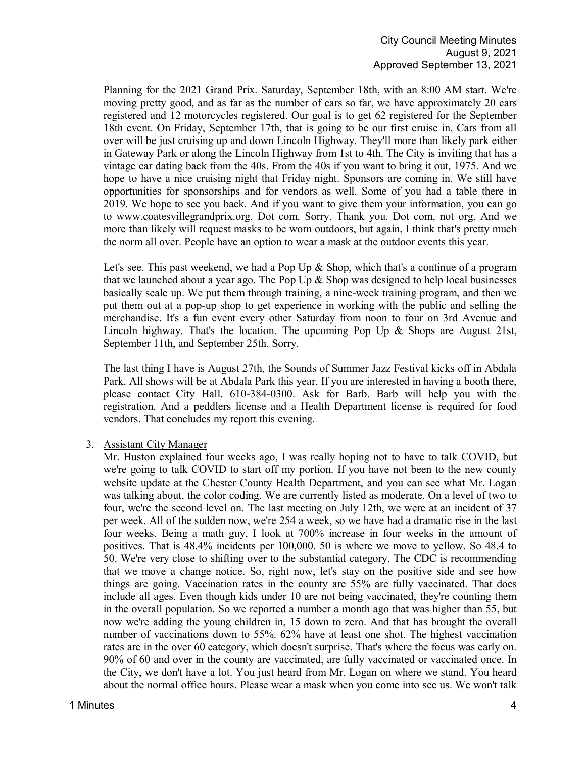Planning for the 2021 Grand Prix. Saturday, September 18th, with an 8:00 AM start. We're moving pretty good, and as far as the number of cars so far, we have approximately 20 cars registered and 12 motorcycles registered. Our goal is to get 62 registered for the September 18th event. On Friday, September 17th, that is going to be our first cruise in. Cars from all over will be just cruising up and down Lincoln Highway. They'll more than likely park either in Gateway Park or along the Lincoln Highway from 1st to 4th. The City is inviting that has a vintage car dating back from the 40s. From the 40s if you want to bring it out, 1975. And we hope to have a nice cruising night that Friday night. Sponsors are coming in. We still have opportunities for sponsorships and for vendors as well. Some of you had a table there in 2019. We hope to see you back. And if you want to give them your information, you can go to www.coatesvillegrandprix.org. Dot com. Sorry. Thank you. Dot com, not org. And we more than likely will request masks to be worn outdoors, but again, I think that's pretty much the norm all over. People have an option to wear a mask at the outdoor events this year.

Let's see. This past weekend, we had a Pop Up  $\&$  Shop, which that's a continue of a program that we launched about a year ago. The Pop Up  $\&$  Shop was designed to help local businesses basically scale up. We put them through training, a nine-week training program, and then we put them out at a pop-up shop to get experience in working with the public and selling the merchandise. It's a fun event every other Saturday from noon to four on 3rd Avenue and Lincoln highway. That's the location. The upcoming Pop Up  $\&$  Shops are August 21st, September 11th, and September 25th. Sorry.

The last thing I have is August 27th, the Sounds of Summer Jazz Festival kicks off in Abdala Park. All shows will be at Abdala Park this year. If you are interested in having a booth there, please contact City Hall. 610-384-0300. Ask for Barb. Barb will help you with the registration. And a peddlers license and a Health Department license is required for food vendors. That concludes my report this evening.

3. Assistant City Manager

Mr. Huston explained four weeks ago, I was really hoping not to have to talk COVID, but we're going to talk COVID to start off my portion. If you have not been to the new county website update at the Chester County Health Department, and you can see what Mr. Logan was talking about, the color coding. We are currently listed as moderate. On a level of two to four, we're the second level on. The last meeting on July 12th, we were at an incident of 37 per week. All of the sudden now, we're 254 a week, so we have had a dramatic rise in the last four weeks. Being a math guy, I look at 700% increase in four weeks in the amount of positives. That is 48.4% incidents per 100,000. 50 is where we move to yellow. So 48.4 to 50. We're very close to shifting over to the substantial category. The CDC is recommending that we move a change notice. So, right now, let's stay on the positive side and see how things are going. Vaccination rates in the county are 55% are fully vaccinated. That does include all ages. Even though kids under 10 are not being vaccinated, they're counting them in the overall population. So we reported a number a month ago that was higher than 55, but now we're adding the young children in, 15 down to zero. And that has brought the overall number of vaccinations down to 55%. 62% have at least one shot. The highest vaccination rates are in the over 60 category, which doesn't surprise. That's where the focus was early on. 90% of 60 and over in the county are vaccinated, are fully vaccinated or vaccinated once. In the City, we don't have a lot. You just heard from Mr. Logan on where we stand. You heard about the normal office hours. Please wear a mask when you come into see us. We won't talk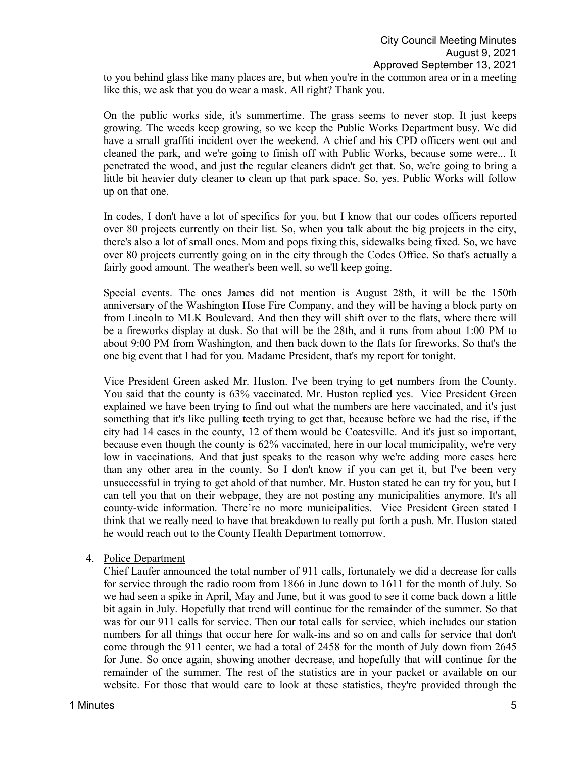to you behind glass like many places are, but when you're in the common area or in a meeting like this, we ask that you do wear a mask. All right? Thank you.

On the public works side, it's summertime. The grass seems to never stop. It just keeps growing. The weeds keep growing, so we keep the Public Works Department busy. We did have a small graffiti incident over the weekend. A chief and his CPD officers went out and cleaned the park, and we're going to finish off with Public Works, because some were... It penetrated the wood, and just the regular cleaners didn't get that. So, we're going to bring a little bit heavier duty cleaner to clean up that park space. So, yes. Public Works will follow up on that one.

In codes, I don't have a lot of specifics for you, but I know that our codes officers reported over 80 projects currently on their list. So, when you talk about the big projects in the city, there's also a lot of small ones. Mom and pops fixing this, sidewalks being fixed. So, we have over 80 projects currently going on in the city through the Codes Office. So that's actually a fairly good amount. The weather's been well, so we'll keep going.

Special events. The ones James did not mention is August 28th, it will be the 150th anniversary of the Washington Hose Fire Company, and they will be having a block party on from Lincoln to MLK Boulevard. And then they will shift over to the flats, where there will be a fireworks display at dusk. So that will be the 28th, and it runs from about 1:00 PM to about 9:00 PM from Washington, and then back down to the flats for fireworks. So that's the one big event that I had for you. Madame President, that's my report for tonight.

Vice President Green asked Mr. Huston. I've been trying to get numbers from the County. You said that the county is 63% vaccinated. Mr. Huston replied yes. Vice President Green explained we have been trying to find out what the numbers are here vaccinated, and it's just something that it's like pulling teeth trying to get that, because before we had the rise, if the city had 14 cases in the county, 12 of them would be Coatesville. And it's just so important, because even though the county is 62% vaccinated, here in our local municipality, we're very low in vaccinations. And that just speaks to the reason why we're adding more cases here than any other area in the county. So I don't know if you can get it, but I've been very unsuccessful in trying to get ahold of that number. Mr. Huston stated he can try for you, but I can tell you that on their webpage, they are not posting any municipalities anymore. It's all county-wide information. There're no more municipalities. Vice President Green stated I think that we really need to have that breakdown to really put forth a push. Mr. Huston stated he would reach out to the County Health Department tomorrow.

### 4. Police Department

Chief Laufer announced the total number of 911 calls, fortunately we did a decrease for calls for service through the radio room from 1866 in June down to 1611 for the month of July. So we had seen a spike in April, May and June, but it was good to see it come back down a little bit again in July. Hopefully that trend will continue for the remainder of the summer. So that was for our 911 calls for service. Then our total calls for service, which includes our station numbers for all things that occur here for walk-ins and so on and calls for service that don't come through the 911 center, we had a total of 2458 for the month of July down from 2645 for June. So once again, showing another decrease, and hopefully that will continue for the remainder of the summer. The rest of the statistics are in your packet or available on our website. For those that would care to look at these statistics, they're provided through the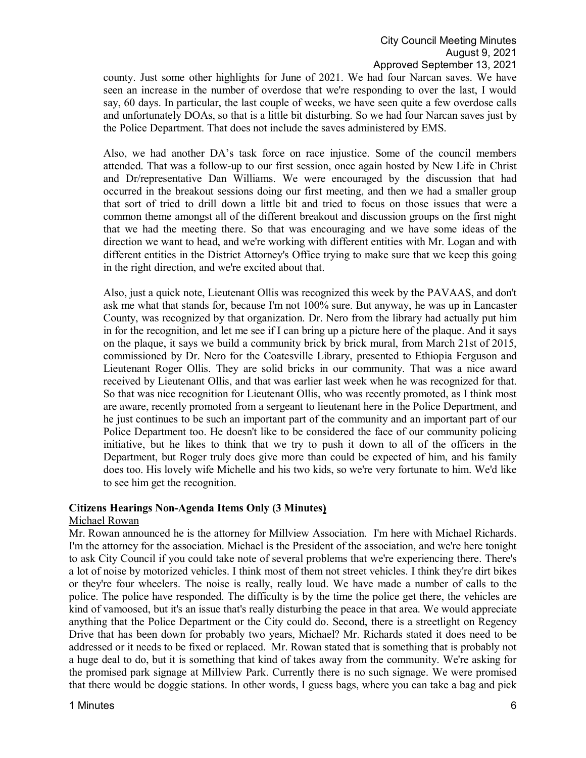county. Just some other highlights for June of 2021. We had four Narcan saves. We have seen an increase in the number of overdose that we're responding to over the last, I would say, 60 days. In particular, the last couple of weeks, we have seen quite a few overdose calls and unfortunately DOAs, so that is a little bit disturbing. So we had four Narcan saves just by the Police Department. That does not include the saves administered by EMS.

Also, we had another DA's task force on race injustice. Some of the council members attended. That was a follow-up to our first session, once again hosted by New Life in Christ and Dr/representative Dan Williams. We were encouraged by the discussion that had occurred in the breakout sessions doing our first meeting, and then we had a smaller group that sort of tried to drill down a little bit and tried to focus on those issues that were a common theme amongst all of the different breakout and discussion groups on the first night that we had the meeting there. So that was encouraging and we have some ideas of the direction we want to head, and we're working with different entities with Mr. Logan and with different entities in the District Attorney's Office trying to make sure that we keep this going in the right direction, and we're excited about that.

Also, just a quick note, Lieutenant Ollis was recognized this week by the PAVAAS, and don't ask me what that stands for, because I'm not 100% sure. But anyway, he was up in Lancaster County, was recognized by that organization. Dr. Nero from the library had actually put him in for the recognition, and let me see if I can bring up a picture here of the plaque. And it says on the plaque, it says we build a community brick by brick mural, from March 21st of 2015, commissioned by Dr. Nero for the Coatesville Library, presented to Ethiopia Ferguson and Lieutenant Roger Ollis. They are solid bricks in our community. That was a nice award received by Lieutenant Ollis, and that was earlier last week when he was recognized for that. So that was nice recognition for Lieutenant Ollis, who was recently promoted, as I think most are aware, recently promoted from a sergeant to lieutenant here in the Police Department, and he just continues to be such an important part of the community and an important part of our Police Department too. He doesn't like to be considered the face of our community policing initiative, but he likes to think that we try to push it down to all of the officers in the Department, but Roger truly does give more than could be expected of him, and his family does too. His lovely wife Michelle and his two kids, so we're very fortunate to him. We'd like to see him get the recognition.

## **Citizens Hearings Non-Agenda Items Only (3 Minutes)**

### Michael Rowan

Mr. Rowan announced he is the attorney for Millview Association. I'm here with Michael Richards. I'm the attorney for the association. Michael is the President of the association, and we're here tonight to ask City Council if you could take note of several problems that we're experiencing there. There's a lot of noise by motorized vehicles. I think most of them not street vehicles. I think they're dirt bikes or they're four wheelers. The noise is really, really loud. We have made a number of calls to the police. The police have responded. The difficulty is by the time the police get there, the vehicles are kind of vamoosed, but it's an issue that's really disturbing the peace in that area. We would appreciate anything that the Police Department or the City could do. Second, there is a streetlight on Regency Drive that has been down for probably two years, Michael? Mr. Richards stated it does need to be addressed or it needs to be fixed or replaced. Mr. Rowan stated that is something that is probably not a huge deal to do, but it is something that kind of takes away from the community. We're asking for the promised park signage at Millview Park. Currently there is no such signage. We were promised that there would be doggie stations. In other words, I guess bags, where you can take a bag and pick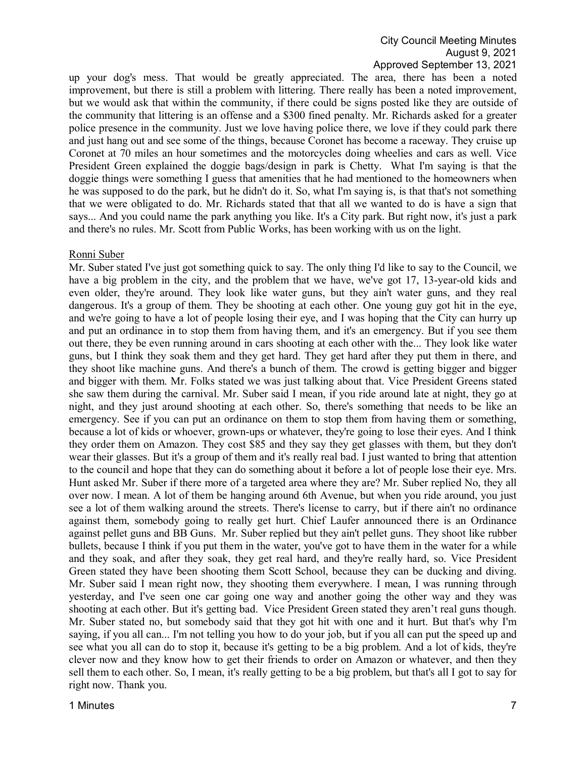up your dog's mess. That would be greatly appreciated. The area, there has been a noted improvement, but there is still a problem with littering. There really has been a noted improvement, but we would ask that within the community, if there could be signs posted like they are outside of the community that littering is an offense and a \$300 fined penalty. Mr. Richards asked for a greater police presence in the community. Just we love having police there, we love if they could park there and just hang out and see some of the things, because Coronet has become a raceway. They cruise up Coronet at 70 miles an hour sometimes and the motorcycles doing wheelies and cars as well. Vice President Green explained the doggie bags/design in park is Chetty. What I'm saying is that the doggie things were something I guess that amenities that he had mentioned to the homeowners when he was supposed to do the park, but he didn't do it. So, what I'm saying is, is that that's not something that we were obligated to do. Mr. Richards stated that that all we wanted to do is have a sign that says... And you could name the park anything you like. It's a City park. But right now, it's just a park and there's no rules. Mr. Scott from Public Works, has been working with us on the light.

#### Ronni Suber

Mr. Suber stated I've just got something quick to say. The only thing I'd like to say to the Council, we have a big problem in the city, and the problem that we have, we've got 17, 13-year-old kids and even older, they're around. They look like water guns, but they ain't water guns, and they real dangerous. It's a group of them. They be shooting at each other. One young guy got hit in the eye, and we're going to have a lot of people losing their eye, and I was hoping that the City can hurry up and put an ordinance in to stop them from having them, and it's an emergency. But if you see them out there, they be even running around in cars shooting at each other with the... They look like water guns, but I think they soak them and they get hard. They get hard after they put them in there, and they shoot like machine guns. And there's a bunch of them. The crowd is getting bigger and bigger and bigger with them. Mr. Folks stated we was just talking about that. Vice President Greens stated she saw them during the carnival. Mr. Suber said I mean, if you ride around late at night, they go at night, and they just around shooting at each other. So, there's something that needs to be like an emergency. See if you can put an ordinance on them to stop them from having them or something, because a lot of kids or whoever, grown-ups or whatever, they're going to lose their eyes. And I think they order them on Amazon. They cost \$85 and they say they get glasses with them, but they don't wear their glasses. But it's a group of them and it's really real bad. I just wanted to bring that attention to the council and hope that they can do something about it before a lot of people lose their eye. Mrs. Hunt asked Mr. Suber if there more of a targeted area where they are? Mr. Suber replied No, they all over now. I mean. A lot of them be hanging around 6th Avenue, but when you ride around, you just see a lot of them walking around the streets. There's license to carry, but if there ain't no ordinance against them, somebody going to really get hurt. Chief Laufer announced there is an Ordinance against pellet guns and BB Guns. Mr. Suber replied but they ain't pellet guns. They shoot like rubber bullets, because I think if you put them in the water, you've got to have them in the water for a while and they soak, and after they soak, they get real hard, and they're really hard, so. Vice President Green stated they have been shooting them Scott School, because they can be ducking and diving. Mr. Suber said I mean right now, they shooting them everywhere. I mean, I was running through yesterday, and I've seen one car going one way and another going the other way and they was shooting at each other. But it's getting bad. Vice President Green stated they aren't real guns though. Mr. Suber stated no, but somebody said that they got hit with one and it hurt. But that's why I'm saying, if you all can... I'm not telling you how to do your job, but if you all can put the speed up and see what you all can do to stop it, because it's getting to be a big problem. And a lot of kids, they're clever now and they know how to get their friends to order on Amazon or whatever, and then they sell them to each other. So, I mean, it's really getting to be a big problem, but that's all I got to say for right now. Thank you.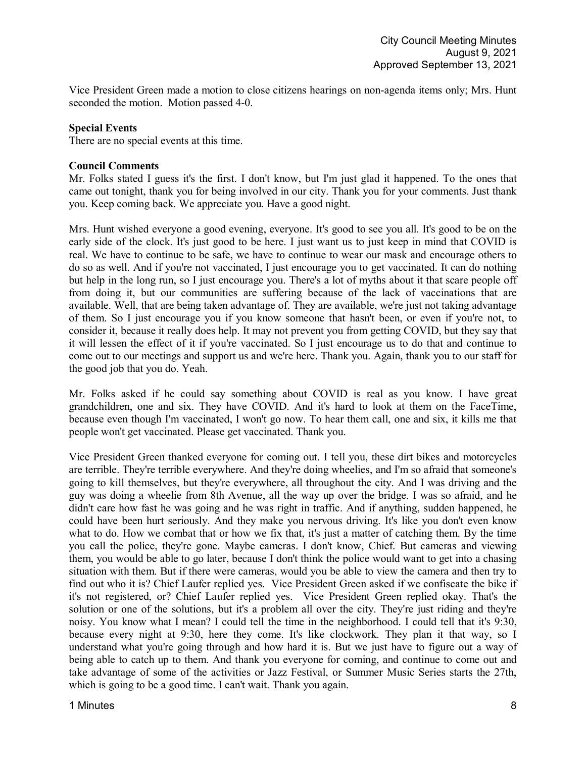Vice President Green made a motion to close citizens hearings on non-agenda items only; Mrs. Hunt seconded the motion. Motion passed 4-0.

## **Special Events**

There are no special events at this time.

### **Council Comments**

Mr. Folks stated I guess it's the first. I don't know, but I'm just glad it happened. To the ones that came out tonight, thank you for being involved in our city. Thank you for your comments. Just thank you. Keep coming back. We appreciate you. Have a good night.

Mrs. Hunt wished everyone a good evening, everyone. It's good to see you all. It's good to be on the early side of the clock. It's just good to be here. I just want us to just keep in mind that COVID is real. We have to continue to be safe, we have to continue to wear our mask and encourage others to do so as well. And if you're not vaccinated, I just encourage you to get vaccinated. It can do nothing but help in the long run, so I just encourage you. There's a lot of myths about it that scare people off from doing it, but our communities are suffering because of the lack of vaccinations that are available. Well, that are being taken advantage of. They are available, we're just not taking advantage of them. So I just encourage you if you know someone that hasn't been, or even if you're not, to consider it, because it really does help. It may not prevent you from getting COVID, but they say that it will lessen the effect of it if you're vaccinated. So I just encourage us to do that and continue to come out to our meetings and support us and we're here. Thank you. Again, thank you to our staff for the good job that you do. Yeah.

Mr. Folks asked if he could say something about COVID is real as you know. I have great grandchildren, one and six. They have COVID. And it's hard to look at them on the FaceTime, because even though I'm vaccinated, I won't go now. To hear them call, one and six, it kills me that people won't get vaccinated. Please get vaccinated. Thank you.

Vice President Green thanked everyone for coming out. I tell you, these dirt bikes and motorcycles are terrible. They're terrible everywhere. And they're doing wheelies, and I'm so afraid that someone's going to kill themselves, but they're everywhere, all throughout the city. And I was driving and the guy was doing a wheelie from 8th Avenue, all the way up over the bridge. I was so afraid, and he didn't care how fast he was going and he was right in traffic. And if anything, sudden happened, he could have been hurt seriously. And they make you nervous driving. It's like you don't even know what to do. How we combat that or how we fix that, it's just a matter of catching them. By the time you call the police, they're gone. Maybe cameras. I don't know, Chief. But cameras and viewing them, you would be able to go later, because I don't think the police would want to get into a chasing situation with them. But if there were cameras, would you be able to view the camera and then try to find out who it is? Chief Laufer replied yes. Vice President Green asked if we confiscate the bike if it's not registered, or? Chief Laufer replied yes. Vice President Green replied okay. That's the solution or one of the solutions, but it's a problem all over the city. They're just riding and they're noisy. You know what I mean? I could tell the time in the neighborhood. I could tell that it's 9:30, because every night at 9:30, here they come. It's like clockwork. They plan it that way, so I understand what you're going through and how hard it is. But we just have to figure out a way of being able to catch up to them. And thank you everyone for coming, and continue to come out and take advantage of some of the activities or Jazz Festival, or Summer Music Series starts the 27th, which is going to be a good time. I can't wait. Thank you again.